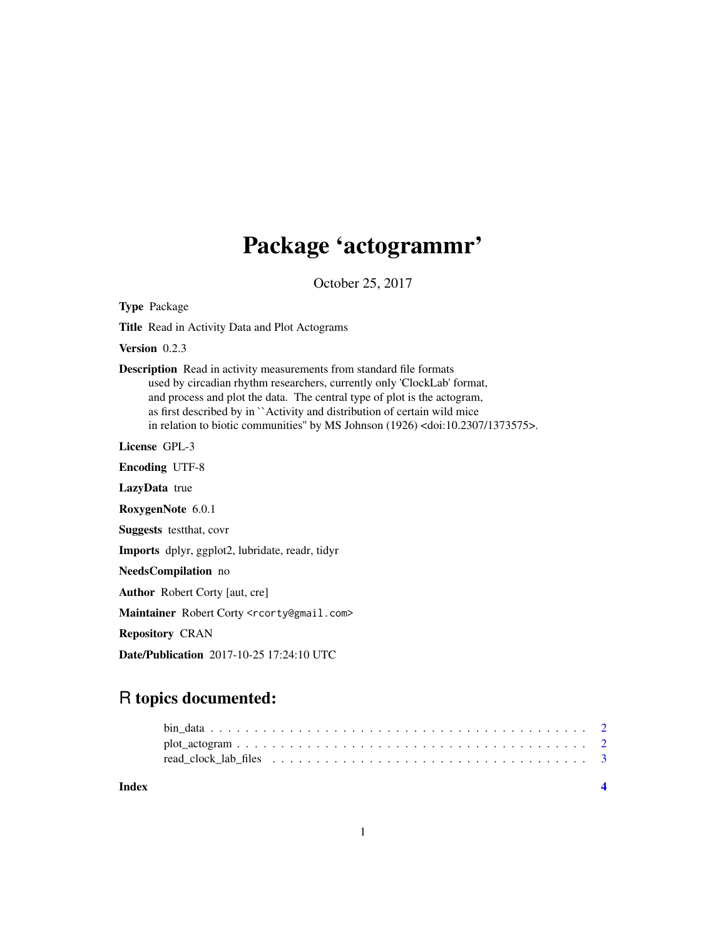## Package 'actogrammr'

October 25, 2017

Type Package

Title Read in Activity Data and Plot Actograms

Version 0.2.3

Description Read in activity measurements from standard file formats used by circadian rhythm researchers, currently only 'ClockLab' format, and process and plot the data. The central type of plot is the actogram, as first described by in ``Activity and distribution of certain wild mice in relation to biotic communities'' by MS Johnson (1926) <doi:10.2307/1373575>.

License GPL-3

Encoding UTF-8

LazyData true

RoxygenNote 6.0.1

Suggests testthat, covr

Imports dplyr, ggplot2, lubridate, readr, tidyr

NeedsCompilation no

Author Robert Corty [aut, cre]

Maintainer Robert Corty <rcorty@gmail.com>

Repository CRAN

Date/Publication 2017-10-25 17:24:10 UTC

### R topics documented:

| Index |  |
|-------|--|
|       |  |
|       |  |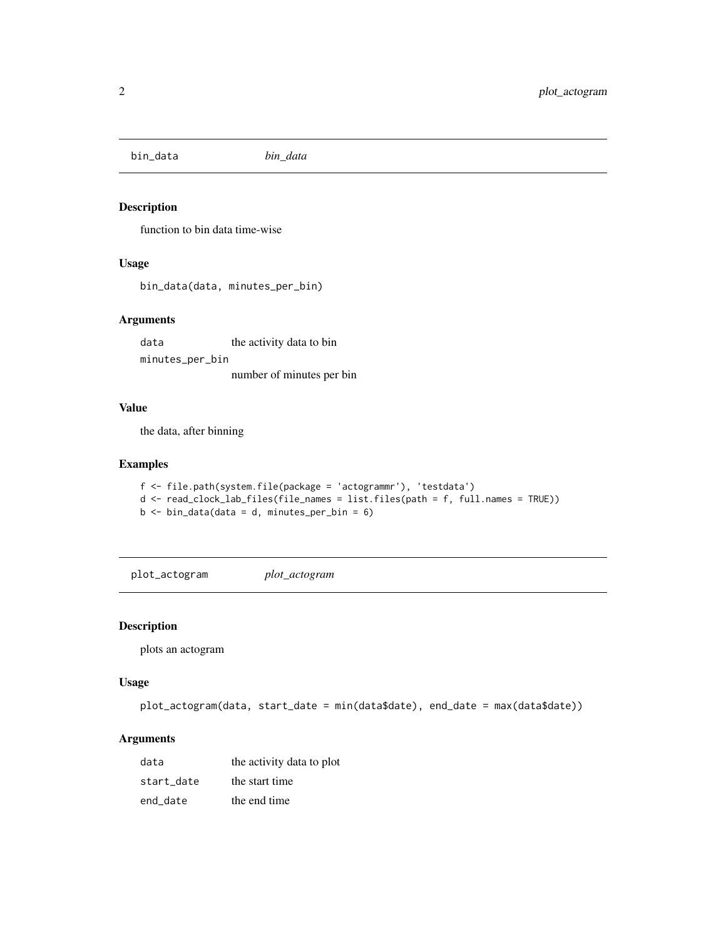<span id="page-1-0"></span>bin\_data *bin\_data*

#### Description

function to bin data time-wise

#### Usage

bin\_data(data, minutes\_per\_bin)

#### Arguments

data the activity data to bin minutes\_per\_bin number of minutes per bin

#### Value

the data, after binning

#### Examples

```
f <- file.path(system.file(package = 'actogrammr'), 'testdata')
d <- read_clock_lab_files(file_names = list.files(path = f, full.names = TRUE))
b \le bin_data(data = d, minutes_per_bin = 6)
```
plot\_actogram *plot\_actogram*

#### Description

plots an actogram

#### Usage

```
plot_actogram(data, start_date = min(data$date), end_date = max(data$date))
```
#### Arguments

| data       | the activity data to plot |
|------------|---------------------------|
| start date | the start time            |
| end date   | the end time              |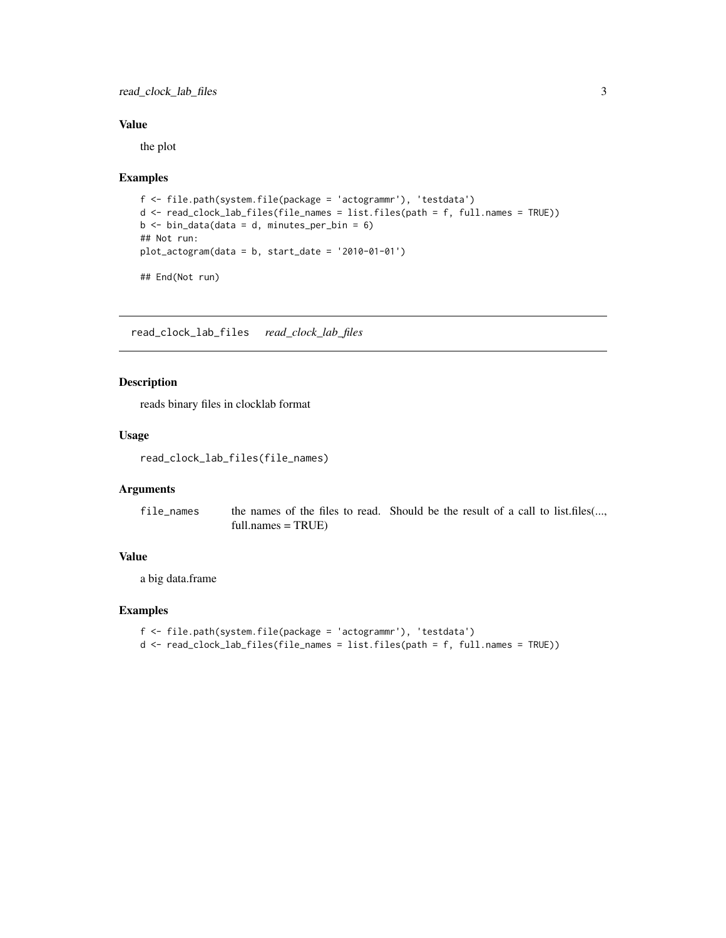<span id="page-2-0"></span>read\_clock\_lab\_files 3

#### Value

the plot

#### Examples

```
f <- file.path(system.file(package = 'actogrammr'), 'testdata')
d <- read_clock_lab_files(file_names = list.files(path = f, full.names = TRUE))
b \le bin_data(data = d, minutes_per_bin = 6)
## Not run:
plot_actogram(data = b, start_date = '2010-01-01')
```
## End(Not run)

read\_clock\_lab\_files *read\_clock\_lab\_files*

#### Description

reads binary files in clocklab format

#### Usage

read\_clock\_lab\_files(file\_names)

#### Arguments

file\_names the names of the files to read. Should be the result of a call to list.files(..., full.names = TRUE)

#### Value

a big data.frame

#### Examples

```
f <- file.path(system.file(package = 'actogrammr'), 'testdata')
d <- read_clock_lab_files(file_names = list.files(path = f, full.names = TRUE))
```